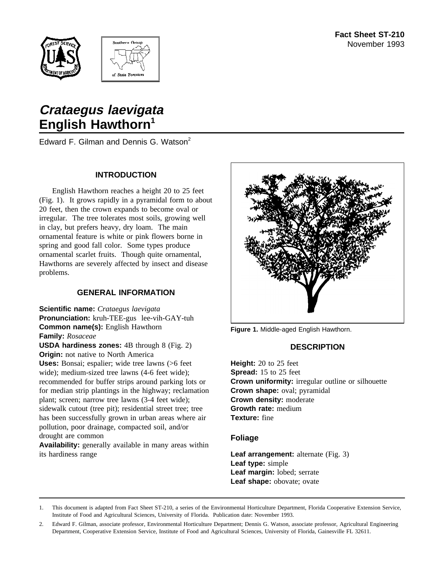



# **Crataegus laevigata English Hawthorn<sup>1</sup>**

Edward F. Gilman and Dennis G. Watson<sup>2</sup>

#### **INTRODUCTION**

English Hawthorn reaches a height 20 to 25 feet (Fig. 1). It grows rapidly in a pyramidal form to about 20 feet, then the crown expands to become oval or irregular. The tree tolerates most soils, growing well in clay, but prefers heavy, dry loam. The main ornamental feature is white or pink flowers borne in spring and good fall color. Some types produce ornamental scarlet fruits. Though quite ornamental, Hawthorns are severely affected by insect and disease problems.

## **GENERAL INFORMATION**

**Scientific name:** *Crataegus laevigata* **Pronunciation:** kruh-TEE-gus lee-vih-GAY-tuh **Common name(s):** English Hawthorn **Family:** *Rosaceae*

**USDA hardiness zones:** 4B through 8 (Fig. 2) **Origin:** not native to North America

**Uses:** Bonsai; espalier; wide tree lawns (>6 feet wide); medium-sized tree lawns (4-6 feet wide); recommended for buffer strips around parking lots or for median strip plantings in the highway; reclamation plant; screen; narrow tree lawns (3-4 feet wide); sidewalk cutout (tree pit); residential street tree; tree has been successfully grown in urban areas where air pollution, poor drainage, compacted soil, and/or drought are common

**Availability:** generally available in many areas within its hardiness range



**Figure 1.** Middle-aged English Hawthorn.

## **DESCRIPTION**

**Height:** 20 to 25 feet **Spread:** 15 to 25 feet **Crown uniformity:** irregular outline or silhouette **Crown shape:** oval; pyramidal **Crown density:** moderate **Growth rate:** medium **Texture:** fine

#### **Foliage**

**Leaf arrangement:** alternate (Fig. 3) **Leaf type:** simple **Leaf margin:** lobed; serrate **Leaf shape:** obovate; ovate

1. This document is adapted from Fact Sheet ST-210, a series of the Environmental Horticulture Department, Florida Cooperative Extension Service, Institute of Food and Agricultural Sciences, University of Florida. Publication date: November 1993.

2. Edward F. Gilman, associate professor, Environmental Horticulture Department; Dennis G. Watson, associate professor, Agricultural Engineering Department, Cooperative Extension Service, Institute of Food and Agricultural Sciences, University of Florida, Gainesville FL 32611.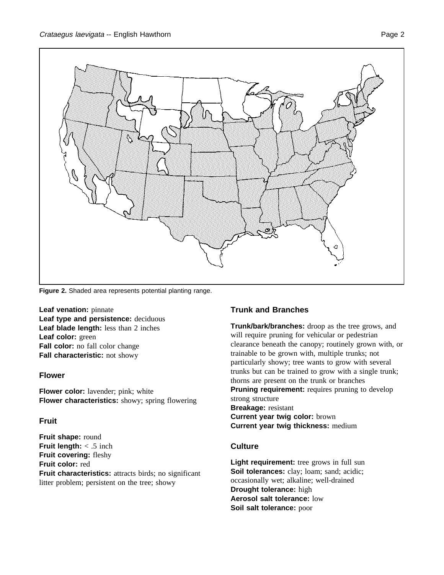

**Figure 2.** Shaded area represents potential planting range.

**Leaf venation:** pinnate **Leaf type and persistence:** deciduous **Leaf blade length:** less than 2 inches **Leaf color:** green **Fall color:** no fall color change **Fall characteristic:** not showy

## **Flower**

**Flower color:** lavender; pink; white **Flower characteristics:** showy; spring flowering

## **Fruit**

**Fruit shape:** round **Fruit length:** < .5 inch **Fruit covering:** fleshy **Fruit color:** red **Fruit characteristics:** attracts birds; no significant litter problem; persistent on the tree; showy

## **Trunk and Branches**

**Trunk/bark/branches:** droop as the tree grows, and will require pruning for vehicular or pedestrian clearance beneath the canopy; routinely grown with, or trainable to be grown with, multiple trunks; not particularly showy; tree wants to grow with several trunks but can be trained to grow with a single trunk; thorns are present on the trunk or branches **Pruning requirement:** requires pruning to develop strong structure **Breakage:** resistant **Current year twig color:** brown **Current year twig thickness:** medium

## **Culture**

**Light requirement:** tree grows in full sun Soil tolerances: clay; loam; sand; acidic; occasionally wet; alkaline; well-drained **Drought tolerance:** high **Aerosol salt tolerance:** low **Soil salt tolerance:** poor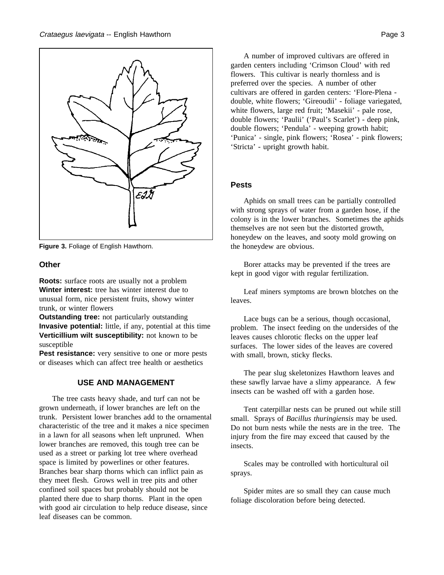

**Figure 3.** Foliage of English Hawthorn.

#### **Other**

**Roots:** surface roots are usually not a problem **Winter interest:** tree has winter interest due to unusual form, nice persistent fruits, showy winter trunk, or winter flowers

**Outstanding tree:** not particularly outstanding **Invasive potential:** little, if any, potential at this time **Verticillium wilt susceptibility:** not known to be susceptible

Pest resistance: very sensitive to one or more pests or diseases which can affect tree health or aesthetics

#### **USE AND MANAGEMENT**

The tree casts heavy shade, and turf can not be grown underneath, if lower branches are left on the trunk. Persistent lower branches add to the ornamental characteristic of the tree and it makes a nice specimen in a lawn for all seasons when left unpruned. When lower branches are removed, this tough tree can be used as a street or parking lot tree where overhead space is limited by powerlines or other features. Branches bear sharp thorns which can inflict pain as they meet flesh. Grows well in tree pits and other confined soil spaces but probably should not be planted there due to sharp thorns. Plant in the open with good air circulation to help reduce disease, since leaf diseases can be common.

A number of improved cultivars are offered in garden centers including 'Crimson Cloud' with red flowers. This cultivar is nearly thornless and is preferred over the species. A number of other cultivars are offered in garden centers: 'Flore-Plena double, white flowers; 'Gireoudii' - foliage variegated, white flowers, large red fruit; 'Masekii' - pale rose, double flowers; 'Paulii' ('Paul's Scarlet') - deep pink, double flowers; 'Pendula' - weeping growth habit; 'Punica' - single, pink flowers; 'Rosea' - pink flowers; 'Stricta' - upright growth habit.

#### **Pests**

Aphids on small trees can be partially controlled with strong sprays of water from a garden hose, if the colony is in the lower branches. Sometimes the aphids themselves are not seen but the distorted growth, honeydew on the leaves, and sooty mold growing on the honeydew are obvious.

Borer attacks may be prevented if the trees are kept in good vigor with regular fertilization.

Leaf miners symptoms are brown blotches on the leaves.

Lace bugs can be a serious, though occasional, problem. The insect feeding on the undersides of the leaves causes chlorotic flecks on the upper leaf surfaces. The lower sides of the leaves are covered with small, brown, sticky flecks.

The pear slug skeletonizes Hawthorn leaves and these sawfly larvae have a slimy appearance. A few insects can be washed off with a garden hose.

Tent caterpillar nests can be pruned out while still small. Sprays of *Bacillus thuringiensis* may be used. Do not burn nests while the nests are in the tree. The injury from the fire may exceed that caused by the insects.

Scales may be controlled with horticultural oil sprays.

Spider mites are so small they can cause much foliage discoloration before being detected.